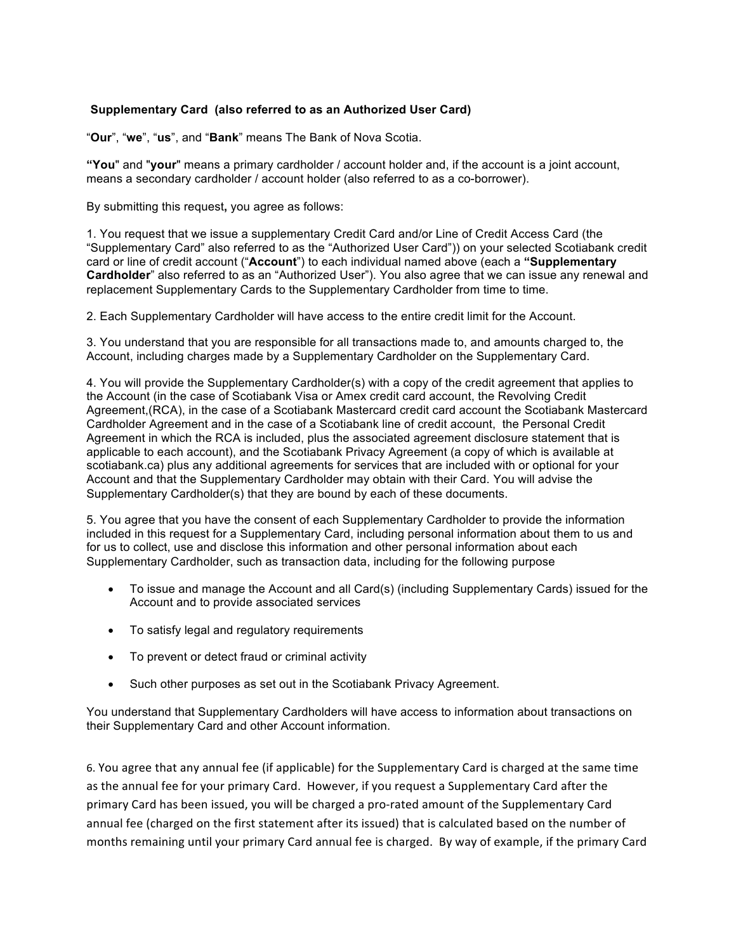## **Supplementary Card (also referred to as an Authorized User Card)**

"**Our**", "**we**", "**us**", and "**Bank**" means The Bank of Nova Scotia.

**"You**" and "**your**" means a primary cardholder / account holder and, if the account is a joint account, means a secondary cardholder / account holder (also referred to as a co-borrower).

By submitting this request**,** you agree as follows:

1. You request that we issue a supplementary Credit Card and/or Line of Credit Access Card (the "Supplementary Card" also referred to as the "Authorized User Card")) on your selected Scotiabank credit card or line of credit account ("**Account**") to each individual named above (each a **"Supplementary Cardholder**" also referred to as an "Authorized User"). You also agree that we can issue any renewal and replacement Supplementary Cards to the Supplementary Cardholder from time to time.

2. Each Supplementary Cardholder will have access to the entire credit limit for the Account.

3. You understand that you are responsible for all transactions made to, and amounts charged to, the Account, including charges made by a Supplementary Cardholder on the Supplementary Card.

4. You will provide the Supplementary Cardholder(s) with a copy of the credit agreement that applies to the Account (in the case of Scotiabank Visa or Amex credit card account, the Revolving Credit Agreement,(RCA), in the case of a Scotiabank Mastercard credit card account the Scotiabank Mastercard Cardholder Agreement and in the case of a Scotiabank line of credit account, the Personal Credit Agreement in which the RCA is included, plus the associated agreement disclosure statement that is applicable to each account), and the Scotiabank Privacy Agreement (a copy of which is available at scotiabank.ca) plus any additional agreements for services that are included with or optional for your Account and that the Supplementary Cardholder may obtain with their Card. You will advise the Supplementary Cardholder(s) that they are bound by each of these documents.

5. You agree that you have the consent of each Supplementary Cardholder to provide the information included in this request for a Supplementary Card, including personal information about them to us and for us to collect, use and disclose this information and other personal information about each Supplementary Cardholder, such as transaction data, including for the following purpose

- To issue and manage the Account and all Card(s) (including Supplementary Cards) issued for the Account and to provide associated services
- To satisfy legal and regulatory requirements
- To prevent or detect fraud or criminal activity
- Such other purposes as set out in the Scotiabank Privacy Agreement.

You understand that Supplementary Cardholders will have access to information about transactions on their Supplementary Card and other Account information.

6. You agree that any annual fee (if applicable) for the Supplementary Card is charged at the same time as the annual fee for your primary Card. However, if you request a Supplementary Card after the primary Card has been issued, you will be charged a pro-rated amount of the Supplementary Card annual fee (charged on the first statement after its issued) that is calculated based on the number of months remaining until your primary Card annual fee is charged. By way of example, if the primary Card